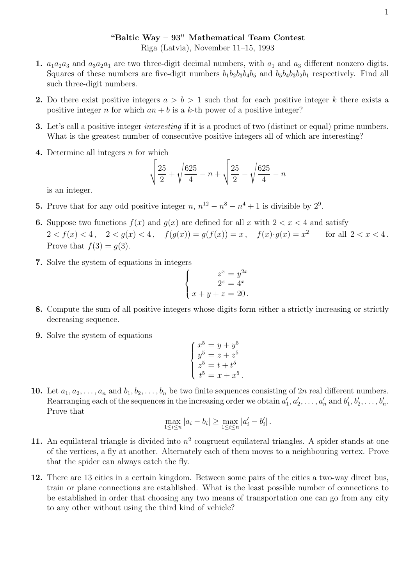## "Baltic Way – 93" Mathematical Team Contest Riga (Latvia), November 11–15, 1993

- 1.  $a_1a_2a_3$  and  $a_3a_2a_1$  are two three-digit decimal numbers, with  $a_1$  and  $a_3$  different nonzero digits. Squares of these numbers are five-digit numbers  $b_1b_2b_3b_4b_5$  and  $b_5b_4b_3b_2b_1$  respectively. Find all such three-digit numbers.
- 2. Do there exist positive integers  $a > b > 1$  such that for each positive integer k there exists a positive integer n for which  $an + b$  is a k-th power of a positive integer?
- **3.** Let's call a positive integer *interesting* if it is a product of two (distinct or equal) prime numbers. What is the greatest number of consecutive positive integers all of which are interesting?
- 4. Determine all integers  $n$  for which

$$
\sqrt{\frac{25}{2} + \sqrt{\frac{625}{4} - n}} + \sqrt{\frac{25}{2} - \sqrt{\frac{625}{4} - n}}
$$

is an integer.

- **5.** Prove that for any odd positive integer  $n, n^{12} n^8 n^4 + 1$  is divisible by  $2^9$ .
- **6.** Suppose two functions  $f(x)$  and  $g(x)$  are defined for all x with  $2 < x < 4$  and satisfy  $2 < f(x) < 4$ ,  $2 < g(x) < 4$ ,  $f(g(x)) = g(f(x)) = x$ ,  $f(x) \cdot g(x) = x^2$ for all  $2 < x < 4$ . Prove that  $f(3) = g(3)$ .
- 7. Solve the system of equations in integers

$$
\begin{cases}\nx^x = y^{2x} \\
2^z = 4^x \\
x+y+z = 20.\n\end{cases}
$$

- 8. Compute the sum of all positive integers whose digits form either a strictly increasing or strictly decreasing sequence.
- 9. Solve the system of equations

$$
\begin{cases}\nx^5 = y + y^5 \\
y^5 = z + z^5 \\
z^5 = t + t^5 \\
t^5 = x + x^5.\n\end{cases}
$$

10. Let  $a_1, a_2, \ldots, a_n$  and  $b_1, b_2, \ldots, b_n$  be two finite sequences consisting of  $2n$  real different numbers. Rearranging each of the sequences in the increasing order we obtain  $a'$  $a'_1, a'_2, \ldots, a'_n$  and  $b'_1$  $b'_1, b'_2, \ldots, b'_n.$ Prove that

$$
\max_{1 \le i \le n} |a_i - b_i| \ge \max_{1 \le i \le n} |a'_i - b'_i| \, .
$$

- 11. An equilateral triangle is divided into  $n^2$  congruent equilateral triangles. A spider stands at one of the vertices, a fly at another. Alternately each of them moves to a neighbouring vertex. Prove that the spider can always catch the fly.
- 12. There are 13 cities in a certain kingdom. Between some pairs of the cities a two-way direct bus, train or plane connections are established. What is the least possible number of connections to be established in order that choosing any two means of transportation one can go from any city to any other without using the third kind of vehicle?